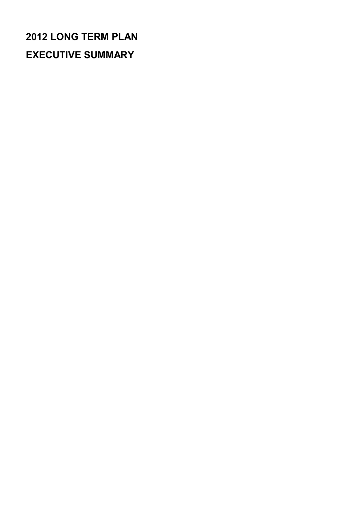# **2012 LONG TERM PLAN EXECUTIVE SUMMARY**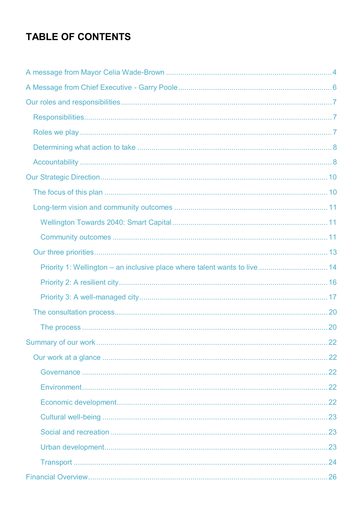# **TABLE OF CONTENTS**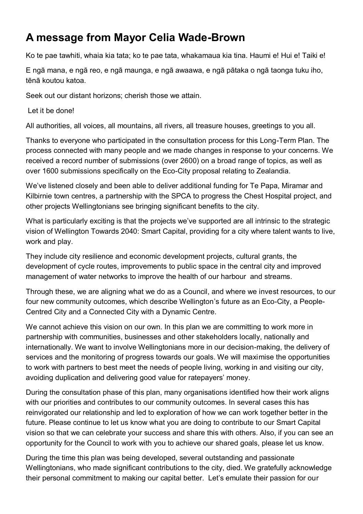# <span id="page-3-0"></span>**A message from Mayor Celia Wade-Brown**

Ko te pae tawhiti, whaia kia tata; ko te pae tata, whakamaua kia tina. Haumi e! Hui e! Taiki e!

E ngā mana, e ngā reo, e ngā maunga, e ngā awaawa, e ngā pātaka o ngā taonga tuku iho, tēnā koutou katoa.

Seek out our distant horizons; cherish those we attain.

Let it be done!

All authorities, all voices, all mountains, all rivers, all treasure houses, greetings to you all.

Thanks to everyone who participated in the consultation process for this Long-Term Plan. The process connected with many people and we made changes in response to your concerns. We received a record number of submissions (over 2600) on a broad range of topics, as well as over 1600 submissions specifically on the Eco-City proposal relating to Zealandia.

We've listened closely and been able to deliver additional funding for Te Papa, Miramar and Kilbirnie town centres, a partnership with the SPCA to progress the Chest Hospital project, and other projects Wellingtonians see bringing significant benefits to the city.

What is particularly exciting is that the projects we've supported are all intrinsic to the strategic vision of Wellington Towards 2040: Smart Capital, providing for a city where talent wants to live, work and play.

They include city resilience and economic development projects, cultural grants, the development of cycle routes, improvements to public space in the central city and improved management of water networks to improve the health of our harbour and streams.

Through these, we are aligning what we do as a Council, and where we invest resources, to our four new community outcomes, which describe Wellington's future as an Eco-City, a People-Centred City and a Connected City with a Dynamic Centre.

We cannot achieve this vision on our own. In this plan we are committing to work more in partnership with communities, businesses and other stakeholders locally, nationally and internationally. We want to involve Wellingtonians more in our decision-making, the delivery of services and the monitoring of progress towards our goals. We will maximise the opportunities to work with partners to best meet the needs of people living, working in and visiting our city, avoiding duplication and delivering good value for ratepayers' money.

During the consultation phase of this plan, many organisations identified how their work aligns with our priorities and contributes to our community outcomes. In several cases this has reinvigorated our relationship and led to exploration of how we can work together better in the future. Please continue to let us know what you are doing to contribute to our Smart Capital vision so that we can celebrate your success and share this with others. Also, if you can see an opportunity for the Council to work with you to achieve our shared goals, please let us know.

During the time this plan was being developed, several outstanding and passionate Wellingtonians, who made significant contributions to the city, died. We gratefully acknowledge their personal commitment to making our capital better. Let's emulate their passion for our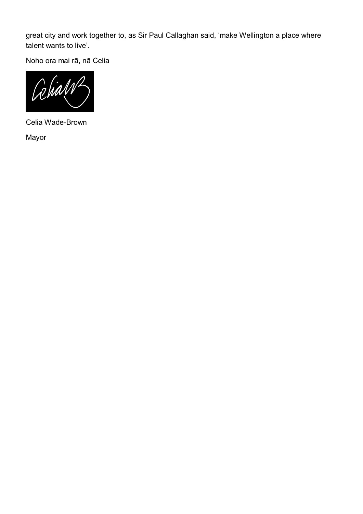great city and work together to, as Sir Paul Callaghan said, 'make Wellington a place where talent wants to live'.

Noho ora mai rā, nā Celia



Celia Wade-Brown

Mayor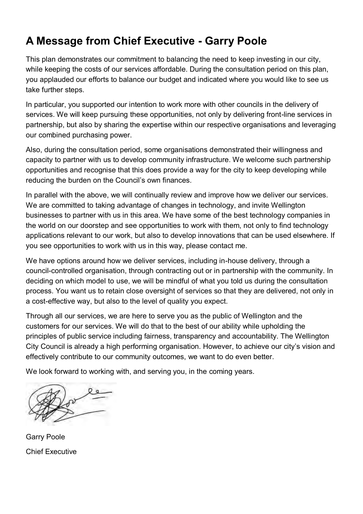# <span id="page-5-0"></span>**A Message from Chief Executive - Garry Poole**

This plan demonstrates our commitment to balancing the need to keep investing in our city, while keeping the costs of our services affordable. During the consultation period on this plan, you applauded our efforts to balance our budget and indicated where you would like to see us take further steps.

In particular, you supported our intention to work more with other councils in the delivery of services. We will keep pursuing these opportunities, not only by delivering front-line services in partnership, but also by sharing the expertise within our respective organisations and leveraging our combined purchasing power.

Also, during the consultation period, some organisations demonstrated their willingness and capacity to partner with us to develop community infrastructure. We welcome such partnership opportunities and recognise that this does provide a way for the city to keep developing while reducing the burden on the Council's own finances.

In parallel with the above, we will continually review and improve how we deliver our services. We are committed to taking advantage of changes in technology, and invite Wellington businesses to partner with us in this area. We have some of the best technology companies in the world on our doorstep and see opportunities to work with them, not only to find technology applications relevant to our work, but also to develop innovations that can be used elsewhere. If you see opportunities to work with us in this way, please contact me.

We have options around how we deliver services, including in-house delivery, through a council-controlled organisation, through contracting out or in partnership with the community. In deciding on which model to use, we will be mindful of what you told us during the consultation process. You want us to retain close oversight of services so that they are delivered, not only in a cost-effective way, but also to the level of quality you expect.

Through all our services, we are here to serve you as the public of Wellington and the customers for our services. We will do that to the best of our ability while upholding the principles of public service including fairness, transparency and accountability. The Wellington City Council is already a high performing organisation. However, to achieve our city's vision and effectively contribute to our community outcomes, we want to do even better.

We look forward to working with, and serving you, in the coming years.

Garry Poole Chief Executive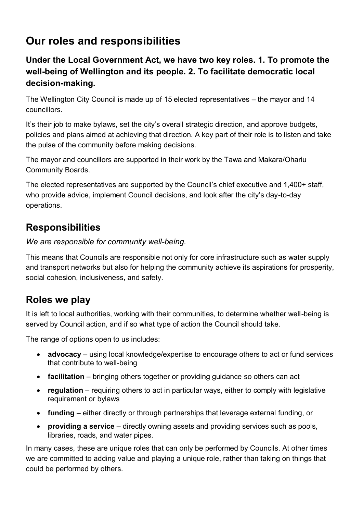# <span id="page-6-0"></span>**Our roles and responsibilities**

# **Under the Local Government Act, we have two key roles. 1. To promote the well-being of Wellington and its people. 2. To facilitate democratic local decision-making.**

The Wellington City Council is made up of 15 elected representatives – the mayor and 14 councillors.

It's their job to make bylaws, set the city's overall strategic direction, and approve budgets, policies and plans aimed at achieving that direction. A key part of their role is to listen and take the pulse of the community before making decisions.

The mayor and councillors are supported in their work by the Tawa and Makara/Ohariu Community Boards.

The elected representatives are supported by the Council's chief executive and 1,400+ staff, who provide advice, implement Council decisions, and look after the city's day-to-day operations.

# <span id="page-6-1"></span>**Responsibilities**

*We are responsible for community well-being.* 

This means that Councils are responsible not only for core infrastructure such as water supply and transport networks but also for helping the community achieve its aspirations for prosperity, social cohesion, inclusiveness, and safety.

# <span id="page-6-2"></span>**Roles we play**

It is left to local authorities, working with their communities, to determine whether well-being is served by Council action, and if so what type of action the Council should take.

The range of options open to us includes:

- **advocacy** using local knowledge/expertise to encourage others to act or fund services that contribute to well-being
- **facilitation** bringing others together or providing guidance so others can act
- **regulation** requiring others to act in particular ways, either to comply with legislative requirement or bylaws
- **funding** either directly or through partnerships that leverage external funding, or
- **providing a service** directly owning assets and providing services such as pools, libraries, roads, and water pipes.

In many cases, these are unique roles that can only be performed by Councils. At other times we are committed to adding value and playing a unique role, rather than taking on things that could be performed by others.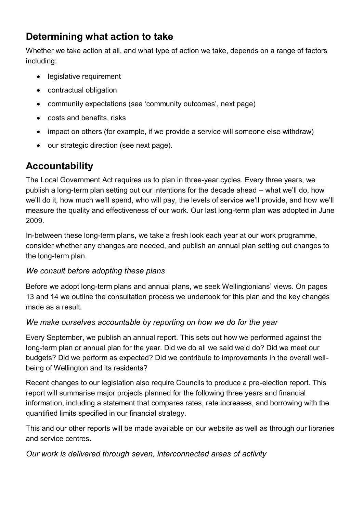# <span id="page-7-0"></span>**Determining what action to take**

Whether we take action at all, and what type of action we take, depends on a range of factors including:

- legislative requirement
- contractual obligation
- community expectations (see 'community outcomes', next page)
- costs and benefits, risks
- impact on others (for example, if we provide a service will someone else withdraw)
- our strategic direction (see next page).

# <span id="page-7-1"></span>**Accountability**

The Local Government Act requires us to plan in three-year cycles. Every three years, we publish a long-term plan setting out our intentions for the decade ahead – what we'll do, how we'll do it, how much we'll spend, who will pay, the levels of service we'll provide, and how we'll measure the quality and effectiveness of our work. Our last long-term plan was adopted in June 2009.

In-between these long-term plans, we take a fresh look each year at our work programme, consider whether any changes are needed, and publish an annual plan setting out changes to the long-term plan.

### *We consult before adopting these plans*

Before we adopt long-term plans and annual plans, we seek Wellingtonians' views. On pages 13 and 14 we outline the consultation process we undertook for this plan and the key changes made as a result.

### *We make ourselves accountable by reporting on how we do for the year*

Every September, we publish an annual report. This sets out how we performed against the long-term plan or annual plan for the year. Did we do all we said we'd do? Did we meet our budgets? Did we perform as expected? Did we contribute to improvements in the overall wellbeing of Wellington and its residents?

Recent changes to our legislation also require Councils to produce a pre-election report. This report will summarise major projects planned for the following three years and financial information, including a statement that compares rates, rate increases, and borrowing with the quantified limits specified in our financial strategy.

This and our other reports will be made available on our website as well as through our libraries and service centres.

### *Our work is delivered through seven, interconnected areas of activity*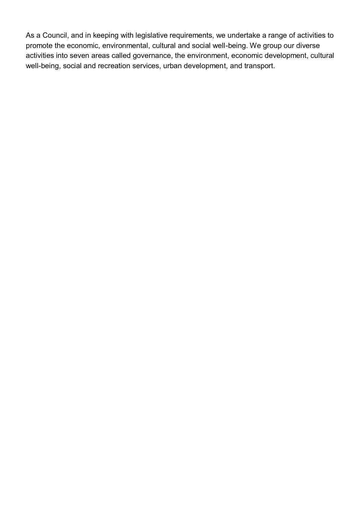As a Council, and in keeping with legislative requirements, we undertake a range of activities to promote the economic, environmental, cultural and social well-being. We group our diverse activities into seven areas called governance, the environment, economic development, cultural well-being, social and recreation services, urban development, and transport.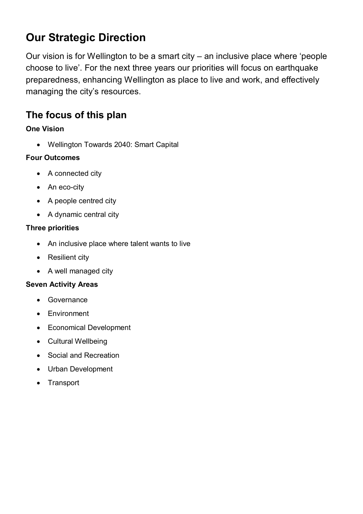# <span id="page-9-0"></span>**Our Strategic Direction**

Our vision is for Wellington to be a smart city – an inclusive place where 'people choose to live'. For the next three years our priorities will focus on earthquake preparedness, enhancing Wellington as place to live and work, and effectively managing the city's resources.

# <span id="page-9-1"></span>**The focus of this plan**

### **One Vision**

Wellington Towards 2040: Smart Capital

### **Four Outcomes**

- A connected city
- An eco-city
- A people centred city
- A dynamic central city

### **Three priorities**

- An inclusive place where talent wants to live
- Resilient city
- A well managed city

#### **Seven Activity Areas**

- Governance
- Environment
- Economical Development
- Cultural Wellbeing
- Social and Recreation
- Urban Development
- Transport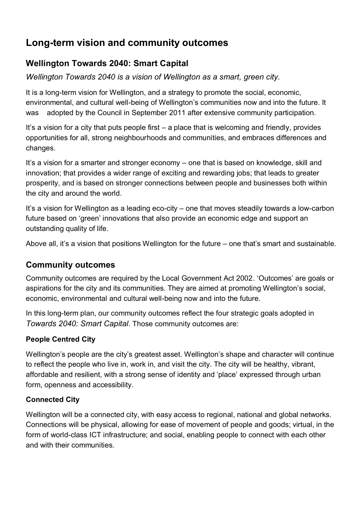# <span id="page-10-0"></span>**Long-term vision and community outcomes**

# <span id="page-10-1"></span>**Wellington Towards 2040: Smart Capital**

*Wellington Towards 2040 is a vision of Wellington as a smart, green city.* 

It is a long-term vision for Wellington, and a strategy to promote the social, economic, environmental, and cultural well-being of Wellington's communities now and into the future. It was adopted by the Council in September 2011 after extensive community participation.

It's a vision for a city that puts people first – a place that is welcoming and friendly, provides opportunities for all, strong neighbourhoods and communities, and embraces differences and changes.

It's a vision for a smarter and stronger economy – one that is based on knowledge, skill and innovation; that provides a wider range of exciting and rewarding jobs; that leads to greater prosperity, and is based on stronger connections between people and businesses both within the city and around the world.

It's a vision for Wellington as a leading eco-city – one that moves steadily towards a low-carbon future based on 'green' innovations that also provide an economic edge and support an outstanding quality of life.

Above all, it's a vision that positions Wellington for the future – one that's smart and sustainable.

# <span id="page-10-2"></span>**Community outcomes**

Community outcomes are required by the Local Government Act 2002. 'Outcomes' are goals or aspirations for the city and its communities. They are aimed at promoting Wellington's social, economic, environmental and cultural well-being now and into the future.

In this long-term plan, our community outcomes reflect the four strategic goals adopted in *Towards 2040: Smart Capital*. Those community outcomes are:

## **People Centred City**

Wellington's people are the city's greatest asset. Wellington's shape and character will continue to reflect the people who live in, work in, and visit the city. The city will be healthy, vibrant, affordable and resilient, with a strong sense of identity and 'place' expressed through urban form, openness and accessibility.

### **Connected City**

Wellington will be a connected city, with easy access to regional, national and global networks. Connections will be physical, allowing for ease of movement of people and goods; virtual, in the form of world-class ICT infrastructure; and social, enabling people to connect with each other and with their communities.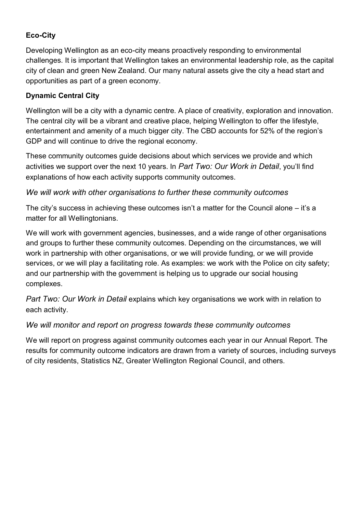### **Eco-City**

Developing Wellington as an eco-city means proactively responding to environmental challenges. It is important that Wellington takes an environmental leadership role, as the capital city of clean and green New Zealand. Our many natural assets give the city a head start and opportunities as part of a green economy.

### **Dynamic Central City**

Wellington will be a city with a dynamic centre. A place of creativity, exploration and innovation. The central city will be a vibrant and creative place, helping Wellington to offer the lifestyle, entertainment and amenity of a much bigger city. The CBD accounts for 52% of the region's GDP and will continue to drive the regional economy.

These community outcomes guide decisions about which services we provide and which activities we support over the next 10 years. In *Part Two: Our Work in Detail*, you'll find explanations of how each activity supports community outcomes.

#### *We will work with other organisations to further these community outcomes*

The city's success in achieving these outcomes isn't a matter for the Council alone – it's a matter for all Wellingtonians.

We will work with government agencies, businesses, and a wide range of other organisations and groups to further these community outcomes. Depending on the circumstances, we will work in partnership with other organisations, or we will provide funding, or we will provide services, or we will play a facilitating role. As examples: we work with the Police on city safety; and our partnership with the government is helping us to upgrade our social housing complexes.

*Part Two: Our Work in Detail* explains which key organisations we work with in relation to each activity.

#### *We will monitor and report on progress towards these community outcomes*

We will report on progress against community outcomes each year in our Annual Report. The results for community outcome indicators are drawn from a variety of sources, including surveys of city residents, Statistics NZ, Greater Wellington Regional Council, and others.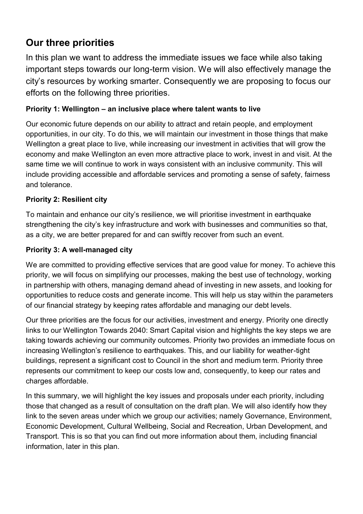# <span id="page-12-0"></span>**Our three priorities**

In this plan we want to address the immediate issues we face while also taking important steps towards our long-term vision. We will also effectively manage the city's resources by working smarter. Consequently we are proposing to focus our efforts on the following three priorities.

### **Priority 1: Wellington – an inclusive place where talent wants to live**

Our economic future depends on our ability to attract and retain people, and employment opportunities, in our city. To do this, we will maintain our investment in those things that make Wellington a great place to live, while increasing our investment in activities that will grow the economy and make Wellington an even more attractive place to work, invest in and visit. At the same time we will continue to work in ways consistent with an inclusive community. This will include providing accessible and affordable services and promoting a sense of safety, fairness and tolerance.

#### **Priority 2: Resilient city**

To maintain and enhance our city's resilience, we will prioritise investment in earthquake strengthening the city's key infrastructure and work with businesses and communities so that, as a city, we are better prepared for and can swiftly recover from such an event.

#### **Priority 3: A well-managed city**

We are committed to providing effective services that are good value for money. To achieve this priority, we will focus on simplifying our processes, making the best use of technology, working in partnership with others, managing demand ahead of investing in new assets, and looking for opportunities to reduce costs and generate income. This will help us stay within the parameters of our financial strategy by keeping rates affordable and managing our debt levels.

Our three priorities are the focus for our activities, investment and energy. Priority one directly links to our Wellington Towards 2040: Smart Capital vision and highlights the key steps we are taking towards achieving our community outcomes. Priority two provides an immediate focus on increasing Wellington's resilience to earthquakes. This, and our liability for weather-tight buildings, represent a significant cost to Council in the short and medium term. Priority three represents our commitment to keep our costs low and, consequently, to keep our rates and charges affordable.

In this summary, we will highlight the key issues and proposals under each priority, including those that changed as a result of consultation on the draft plan. We will also identify how they link to the seven areas under which we group our activities; namely Governance, Environment, Economic Development, Cultural Wellbeing, Social and Recreation, Urban Development, and Transport. This is so that you can find out more information about them, including financial information, later in this plan.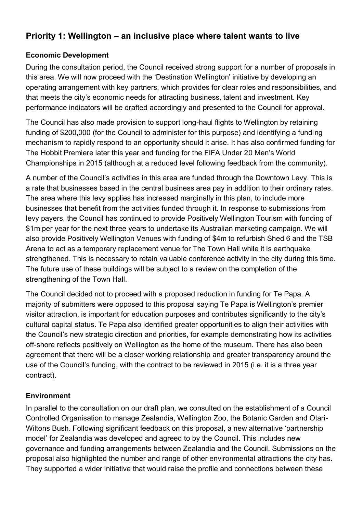## <span id="page-13-0"></span>**Priority 1: Wellington – an inclusive place where talent wants to live**

#### **Economic Development**

During the consultation period, the Council received strong support for a number of proposals in this area. We will now proceed with the 'Destination Wellington' initiative by developing an operating arrangement with key partners, which provides for clear roles and responsibilities, and that meets the city's economic needs for attracting business, talent and investment. Key performance indicators will be drafted accordingly and presented to the Council for approval.

The Council has also made provision to support long-haul flights to Wellington by retaining funding of \$200,000 (for the Council to administer for this purpose) and identifying a funding mechanism to rapidly respond to an opportunity should it arise. It has also confirmed funding for The Hobbit Premiere later this year and funding for the FIFA Under 20 Men's World Championships in 2015 (although at a reduced level following feedback from the community).

A number of the Council's activities in this area are funded through the Downtown Levy. This is a rate that businesses based in the central business area pay in addition to their ordinary rates. The area where this levy applies has increased marginally in this plan, to include more businesses that benefit from the activities funded through it. In response to submissions from levy payers, the Council has continued to provide Positively Wellington Tourism with funding of \$1m per year for the next three years to undertake its Australian marketing campaign. We will also provide Positively Wellington Venues with funding of \$4m to refurbish Shed 6 and the TSB Arena to act as a temporary replacement venue for The Town Hall while it is earthquake strengthened. This is necessary to retain valuable conference activity in the city during this time. The future use of these buildings will be subject to a review on the completion of the strengthening of the Town Hall.

The Council decided not to proceed with a proposed reduction in funding for Te Papa. A majority of submitters were opposed to this proposal saying Te Papa is Wellington's premier visitor attraction, is important for education purposes and contributes significantly to the city's cultural capital status. Te Papa also identified greater opportunities to align their activities with the Council's new strategic direction and priorities, for example demonstrating how its activities off-shore reflects positively on Wellington as the home of the museum. There has also been agreement that there will be a closer working relationship and greater transparency around the use of the Council's funding, with the contract to be reviewed in 2015 (i.e. it is a three year contract).

#### **Environment**

In parallel to the consultation on our draft plan, we consulted on the establishment of a Council Controlled Organisation to manage Zealandia, Wellington Zoo, the Botanic Garden and Otari-Wiltons Bush. Following significant feedback on this proposal, a new alternative 'partnership model' for Zealandia was developed and agreed to by the Council. This includes new governance and funding arrangements between Zealandia and the Council. Submissions on the proposal also highlighted the number and range of other environmental attractions the city has. They supported a wider initiative that would raise the profile and connections between these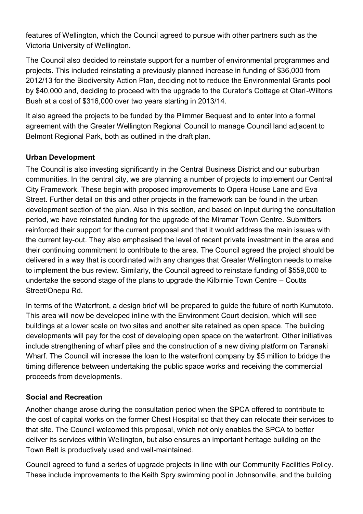features of Wellington, which the Council agreed to pursue with other partners such as the Victoria University of Wellington.

The Council also decided to reinstate support for a number of environmental programmes and projects. This included reinstating a previously planned increase in funding of \$36,000 from 2012/13 for the Biodiversity Action Plan, deciding not to reduce the Environmental Grants pool by \$40,000 and, deciding to proceed with the upgrade to the Curator's Cottage at Otari-Wiltons Bush at a cost of \$316,000 over two years starting in 2013/14.

It also agreed the projects to be funded by the Plimmer Bequest and to enter into a formal agreement with the Greater Wellington Regional Council to manage Council land adjacent to Belmont Regional Park, both as outlined in the draft plan.

#### **Urban Development**

The Council is also investing significantly in the Central Business District and our suburban communities. In the central city, we are planning a number of projects to implement our Central City Framework. These begin with proposed improvements to Opera House Lane and Eva Street. Further detail on this and other projects in the framework can be found in the urban development section of the plan. Also in this section, and based on input during the consultation period, we have reinstated funding for the upgrade of the Miramar Town Centre. Submitters reinforced their support for the current proposal and that it would address the main issues with the current lay-out. They also emphasised the level of recent private investment in the area and their continuing commitment to contribute to the area. The Council agreed the project should be delivered in a way that is coordinated with any changes that Greater Wellington needs to make to implement the bus review. Similarly, the Council agreed to reinstate funding of \$559,000 to undertake the second stage of the plans to upgrade the Kilbirnie Town Centre – Coutts Street/Onepu Rd.

In terms of the Waterfront, a design brief will be prepared to guide the future of north Kumutoto. This area will now be developed inline with the Environment Court decision, which will see buildings at a lower scale on two sites and another site retained as open space. The building developments will pay for the cost of developing open space on the waterfront. Other initiatives include strengthening of wharf piles and the construction of a new diving platform on Taranaki Wharf. The Council will increase the loan to the waterfront company by \$5 million to bridge the timing difference between undertaking the public space works and receiving the commercial proceeds from developments.

#### **Social and Recreation**

Another change arose during the consultation period when the SPCA offered to contribute to the cost of capital works on the former Chest Hospital so that they can relocate their services to that site. The Council welcomed this proposal, which not only enables the SPCA to better deliver its services within Wellington, but also ensures an important heritage building on the Town Belt is productively used and well-maintained.

Council agreed to fund a series of upgrade projects in line with our Community Facilities Policy. These include improvements to the Keith Spry swimming pool in Johnsonville, and the building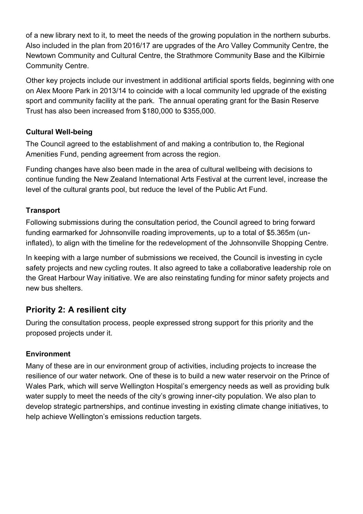of a new library next to it, to meet the needs of the growing population in the northern suburbs. Also included in the plan from 2016/17 are upgrades of the Aro Valley Community Centre, the Newtown Community and Cultural Centre, the Strathmore Community Base and the Kilbirnie Community Centre.

Other key projects include our investment in additional artificial sports fields, beginning with one on Alex Moore Park in 2013/14 to coincide with a local community led upgrade of the existing sport and community facility at the park. The annual operating grant for the Basin Reserve Trust has also been increased from \$180,000 to \$355,000.

### **Cultural Well-being**

The Council agreed to the establishment of and making a contribution to, the Regional Amenities Fund, pending agreement from across the region.

Funding changes have also been made in the area of cultural wellbeing with decisions to continue funding the New Zealand International Arts Festival at the current level, increase the level of the cultural grants pool, but reduce the level of the Public Art Fund.

#### **Transport**

Following submissions during the consultation period, the Council agreed to bring forward funding earmarked for Johnsonville roading improvements, up to a total of \$5.365m (uninflated), to align with the timeline for the redevelopment of the Johnsonville Shopping Centre.

In keeping with a large number of submissions we received, the Council is investing in cycle safety projects and new cycling routes. It also agreed to take a collaborative leadership role on the Great Harbour Way initiative. We are also reinstating funding for minor safety projects and new bus shelters.

### <span id="page-15-0"></span>**Priority 2: A resilient city**

During the consultation process, people expressed strong support for this priority and the proposed projects under it.

#### **Environment**

Many of these are in our environment group of activities, including projects to increase the resilience of our water network. One of these is to build a new water reservoir on the Prince of Wales Park, which will serve Wellington Hospital's emergency needs as well as providing bulk water supply to meet the needs of the city's growing inner-city population. We also plan to develop strategic partnerships, and continue investing in existing climate change initiatives, to help achieve Wellington's emissions reduction targets.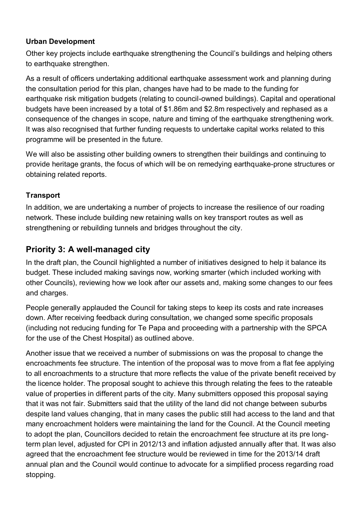#### **Urban Development**

Other key projects include earthquake strengthening the Council's buildings and helping others to earthquake strengthen.

As a result of officers undertaking additional earthquake assessment work and planning during the consultation period for this plan, changes have had to be made to the funding for earthquake risk mitigation budgets (relating to council-owned buildings). Capital and operational budgets have been increased by a total of \$1.86m and \$2.8m respectively and rephased as a consequence of the changes in scope, nature and timing of the earthquake strengthening work. It was also recognised that further funding requests to undertake capital works related to this programme will be presented in the future.

We will also be assisting other building owners to strengthen their buildings and continuing to provide heritage grants, the focus of which will be on remedying earthquake-prone structures or obtaining related reports.

#### **Transport**

In addition, we are undertaking a number of projects to increase the resilience of our roading network. These include building new retaining walls on key transport routes as well as strengthening or rebuilding tunnels and bridges throughout the city.

## <span id="page-16-0"></span>**Priority 3: A well-managed city**

In the draft plan, the Council highlighted a number of initiatives designed to help it balance its budget. These included making savings now, working smarter (which included working with other Councils), reviewing how we look after our assets and, making some changes to our fees and charges.

People generally applauded the Council for taking steps to keep its costs and rate increases down. After receiving feedback during consultation, we changed some specific proposals (including not reducing funding for Te Papa and proceeding with a partnership with the SPCA for the use of the Chest Hospital) as outlined above.

Another issue that we received a number of submissions on was the proposal to change the encroachments fee structure. The intention of the proposal was to move from a flat fee applying to all encroachments to a structure that more reflects the value of the private benefit received by the licence holder. The proposal sought to achieve this through relating the fees to the rateable value of properties in different parts of the city. Many submitters opposed this proposal saying that it was not fair. Submitters said that the utility of the land did not change between suburbs despite land values changing, that in many cases the public still had access to the land and that many encroachment holders were maintaining the land for the Council. At the Council meeting to adopt the plan, Councillors decided to retain the encroachment fee structure at its pre longterm plan level, adjusted for CPI in 2012/13 and inflation adjusted annually after that. It was also agreed that the encroachment fee structure would be reviewed in time for the 2013/14 draft annual plan and the Council would continue to advocate for a simplified process regarding road stopping.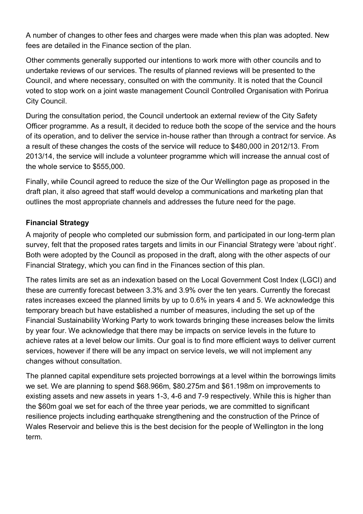A number of changes to other fees and charges were made when this plan was adopted. New fees are detailed in the Finance section of the plan.

Other comments generally supported our intentions to work more with other councils and to undertake reviews of our services. The results of planned reviews will be presented to the Council, and where necessary, consulted on with the community. It is noted that the Council voted to stop work on a joint waste management Council Controlled Organisation with Porirua City Council.

During the consultation period, the Council undertook an external review of the City Safety Officer programme. As a result, it decided to reduce both the scope of the service and the hours of its operation, and to deliver the service in-house rather than through a contract for service. As a result of these changes the costs of the service will reduce to \$480,000 in 2012/13. From 2013/14, the service will include a volunteer programme which will increase the annual cost of the whole service to \$555,000.

Finally, while Council agreed to reduce the size of the Our Wellington page as proposed in the draft plan, it also agreed that staff would develop a communications and marketing plan that outlines the most appropriate channels and addresses the future need for the page.

#### **Financial Strategy**

A majority of people who completed our submission form, and participated in our long-term plan survey, felt that the proposed rates targets and limits in our Financial Strategy were 'about right'. Both were adopted by the Council as proposed in the draft, along with the other aspects of our Financial Strategy, which you can find in the Finances section of this plan.

The rates limits are set as an indexation based on the Local Government Cost Index (LGCI) and these are currently forecast between 3.3% and 3.9% over the ten years. Currently the forecast rates increases exceed the planned limits by up to 0.6% in years 4 and 5. We acknowledge this temporary breach but have established a number of measures, including the set up of the Financial Sustainability Working Party to work towards bringing these increases below the limits by year four. We acknowledge that there may be impacts on service levels in the future to achieve rates at a level below our limits. Our goal is to find more efficient ways to deliver current services, however if there will be any impact on service levels, we will not implement any changes without consultation.

The planned capital expenditure sets projected borrowings at a level within the borrowings limits we set. We are planning to spend \$68.966m, \$80.275m and \$61.198m on improvements to existing assets and new assets in years 1-3, 4-6 and 7-9 respectively. While this is higher than the \$60m goal we set for each of the three year periods, we are committed to significant resilience projects including earthquake strengthening and the construction of the Prince of Wales Reservoir and believe this is the best decision for the people of Wellington in the long term.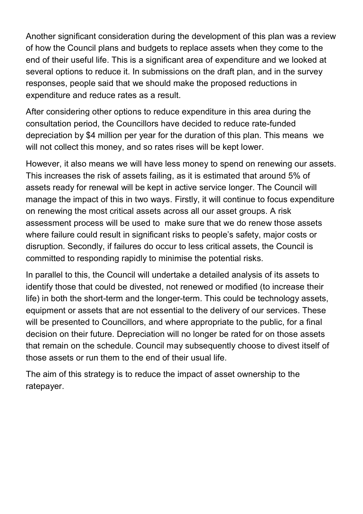Another significant consideration during the development of this plan was a review of how the Council plans and budgets to replace assets when they come to the end of their useful life. This is a significant area of expenditure and we looked at several options to reduce it. In submissions on the draft plan, and in the survey responses, people said that we should make the proposed reductions in expenditure and reduce rates as a result.

After considering other options to reduce expenditure in this area during the consultation period, the Councillors have decided to reduce rate-funded depreciation by \$4 million per year for the duration of this plan. This means we will not collect this money, and so rates rises will be kept lower.

However, it also means we will have less money to spend on renewing our assets. This increases the risk of assets failing, as it is estimated that around 5% of assets ready for renewal will be kept in active service longer. The Council will manage the impact of this in two ways. Firstly, it will continue to focus expenditure on renewing the most critical assets across all our asset groups. A risk assessment process will be used to make sure that we do renew those assets where failure could result in significant risks to people's safety, major costs or disruption. Secondly, if failures do occur to less critical assets, the Council is committed to responding rapidly to minimise the potential risks.

In parallel to this, the Council will undertake a detailed analysis of its assets to identify those that could be divested, not renewed or modified (to increase their life) in both the short-term and the longer-term. This could be technology assets, equipment or assets that are not essential to the delivery of our services. These will be presented to Councillors, and where appropriate to the public, for a final decision on their future. Depreciation will no longer be rated for on those assets that remain on the schedule. Council may subsequently choose to divest itself of those assets or run them to the end of their usual life.

The aim of this strategy is to reduce the impact of asset ownership to the ratepayer.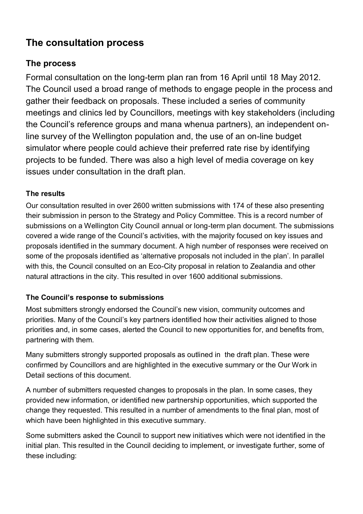# <span id="page-19-0"></span>**The consultation process**

# <span id="page-19-1"></span>**The process**

Formal consultation on the long-term plan ran from 16 April until 18 May 2012. The Council used a broad range of methods to engage people in the process and gather their feedback on proposals. These included a series of community meetings and clinics led by Councillors, meetings with key stakeholders (including the Council's reference groups and mana whenua partners), an independent online survey of the Wellington population and, the use of an on-line budget simulator where people could achieve their preferred rate rise by identifying projects to be funded. There was also a high level of media coverage on key issues under consultation in the draft plan.

### **The results**

Our consultation resulted in over 2600 written submissions with 174 of these also presenting their submission in person to the Strategy and Policy Committee. This is a record number of submissions on a Wellington City Council annual or long-term plan document. The submissions covered a wide range of the Council's activities, with the majority focused on key issues and proposals identified in the summary document. A high number of responses were received on some of the proposals identified as 'alternative proposals not included in the plan'. In parallel with this, the Council consulted on an Eco-City proposal in relation to Zealandia and other natural attractions in the city. This resulted in over 1600 additional submissions.

### **The Council's response to submissions**

Most submitters strongly endorsed the Council's new vision, community outcomes and priorities. Many of the Council's key partners identified how their activities aligned to those priorities and, in some cases, alerted the Council to new opportunities for, and benefits from, partnering with them.

Many submitters strongly supported proposals as outlined in the draft plan. These were confirmed by Councillors and are highlighted in the executive summary or the Our Work in Detail sections of this document.

A number of submitters requested changes to proposals in the plan. In some cases, they provided new information, or identified new partnership opportunities, which supported the change they requested. This resulted in a number of amendments to the final plan, most of which have been highlighted in this executive summary.

Some submitters asked the Council to support new initiatives which were not identified in the initial plan. This resulted in the Council deciding to implement, or investigate further, some of these including: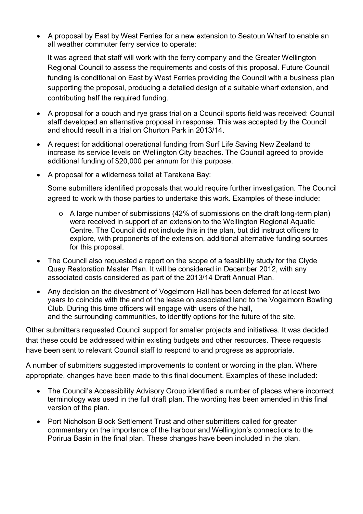A proposal by East by West Ferries for a new extension to Seatoun Wharf to enable an all weather commuter ferry service to operate:

It was agreed that staff will work with the ferry company and the Greater Wellington Regional Council to assess the requirements and costs of this proposal. Future Council funding is conditional on East by West Ferries providing the Council with a business plan supporting the proposal, producing a detailed design of a suitable wharf extension, and contributing half the required funding.

- A proposal for a couch and rye grass trial on a Council sports field was received: Council staff developed an alternative proposal in response. This was accepted by the Council and should result in a trial on Churton Park in 2013/14.
- A request for additional operational funding from Surf Life Saving New Zealand to increase its service levels on Wellington City beaches. The Council agreed to provide additional funding of \$20,000 per annum for this purpose.
- A proposal for a wilderness toilet at Tarakena Bay:

Some submitters identified proposals that would require further investigation. The Council agreed to work with those parties to undertake this work. Examples of these include:

- o A large number of submissions (42% of submissions on the draft long-term plan) were received in support of an extension to the Wellington Regional Aquatic Centre. The Council did not include this in the plan, but did instruct officers to explore, with proponents of the extension, additional alternative funding sources for this proposal.
- The Council also requested a report on the scope of a feasibility study for the Clyde Quay Restoration Master Plan. It will be considered in December 2012, with any associated costs considered as part of the 2013/14 Draft Annual Plan.
- Any decision on the divestment of Vogelmorn Hall has been deferred for at least two years to coincide with the end of the lease on associated land to the Vogelmorn Bowling Club. During this time officers will engage with users of the hall, and the surrounding communities, to identify options for the future of the site.

Other submitters requested Council support for smaller projects and initiatives. It was decided that these could be addressed within existing budgets and other resources. These requests have been sent to relevant Council staff to respond to and progress as appropriate.

A number of submitters suggested improvements to content or wording in the plan. Where appropriate, changes have been made to this final document. Examples of these included:

- The Council's Accessibility Advisory Group identified a number of places where incorrect terminology was used in the full draft plan. The wording has been amended in this final version of the plan.
- Port Nicholson Block Settlement Trust and other submitters called for greater commentary on the importance of the harbour and Wellington's connections to the Porirua Basin in the final plan. These changes have been included in the plan.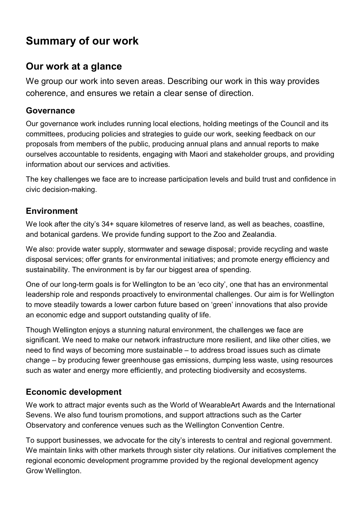# <span id="page-21-0"></span>**Summary of our work**

# <span id="page-21-1"></span>**Our work at a glance**

We group our work into seven areas. Describing our work in this way provides coherence, and ensures we retain a clear sense of direction.

## <span id="page-21-2"></span>**Governance**

Our governance work includes running local elections, holding meetings of the Council and its committees, producing policies and strategies to guide our work, seeking feedback on our proposals from members of the public, producing annual plans and annual reports to make ourselves accountable to residents, engaging with Maori and stakeholder groups, and providing information about our services and activities.

The key challenges we face are to increase participation levels and build trust and confidence in civic decision-making.

# <span id="page-21-3"></span>**Environment**

We look after the city's 34+ square kilometres of reserve land, as well as beaches, coastline, and botanical gardens. We provide funding support to the Zoo and Zealandia.

We also: provide water supply, stormwater and sewage disposal; provide recycling and waste disposal services; offer grants for environmental initiatives; and promote energy efficiency and sustainability. The environment is by far our biggest area of spending.

One of our long-term goals is for Wellington to be an 'eco city', one that has an environmental leadership role and responds proactively to environmental challenges. Our aim is for Wellington to move steadily towards a lower carbon future based on 'green' innovations that also provide an economic edge and support outstanding quality of life.

Though Wellington enjoys a stunning natural environment, the challenges we face are significant. We need to make our network infrastructure more resilient, and like other cities, we need to find ways of becoming more sustainable – to address broad issues such as climate change – by producing fewer greenhouse gas emissions, dumping less waste, using resources such as water and energy more efficiently, and protecting biodiversity and ecosystems.

# <span id="page-21-4"></span>**Economic development**

We work to attract major events such as the World of WearableArt Awards and the International Sevens. We also fund tourism promotions, and support attractions such as the Carter Observatory and conference venues such as the Wellington Convention Centre.

To support businesses, we advocate for the city's interests to central and regional government. We maintain links with other markets through sister city relations. Our initiatives complement the regional economic development programme provided by the regional development agency Grow Wellington.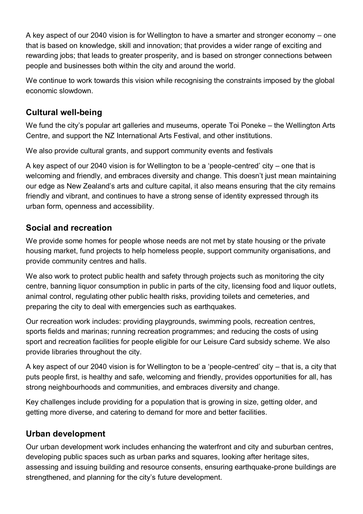A key aspect of our 2040 vision is for Wellington to have a smarter and stronger economy – one that is based on knowledge, skill and innovation; that provides a wider range of exciting and rewarding jobs; that leads to greater prosperity, and is based on stronger connections between people and businesses both within the city and around the world.

We continue to work towards this vision while recognising the constraints imposed by the global economic slowdown.

## <span id="page-22-0"></span>**Cultural well-being**

We fund the city's popular art galleries and museums, operate Toi Poneke – the Wellington Arts Centre, and support the NZ International Arts Festival, and other institutions.

We also provide cultural grants, and support community events and festivals

A key aspect of our 2040 vision is for Wellington to be a 'people-centred' city – one that is welcoming and friendly, and embraces diversity and change. This doesn't just mean maintaining our edge as New Zealand's arts and culture capital, it also means ensuring that the city remains friendly and vibrant, and continues to have a strong sense of identity expressed through its urban form, openness and accessibility.

## <span id="page-22-1"></span>**Social and recreation**

We provide some homes for people whose needs are not met by state housing or the private housing market, fund projects to help homeless people, support community organisations, and provide community centres and halls.

We also work to protect public health and safety through projects such as monitoring the city centre, banning liquor consumption in public in parts of the city, licensing food and liquor outlets, animal control, regulating other public health risks, providing toilets and cemeteries, and preparing the city to deal with emergencies such as earthquakes.

Our recreation work includes: providing playgrounds, swimming pools, recreation centres, sports fields and marinas; running recreation programmes; and reducing the costs of using sport and recreation facilities for people eligible for our Leisure Card subsidy scheme. We also provide libraries throughout the city.

A key aspect of our 2040 vision is for Wellington to be a 'people-centred' city – that is, a city that puts people first, is healthy and safe, welcoming and friendly, provides opportunities for all, has strong neighbourhoods and communities, and embraces diversity and change.

Key challenges include providing for a population that is growing in size, getting older, and getting more diverse, and catering to demand for more and better facilities.

## <span id="page-22-2"></span>**Urban development**

Our urban development work includes enhancing the waterfront and city and suburban centres, developing public spaces such as urban parks and squares, looking after heritage sites, assessing and issuing building and resource consents, ensuring earthquake-prone buildings are strengthened, and planning for the city's future development.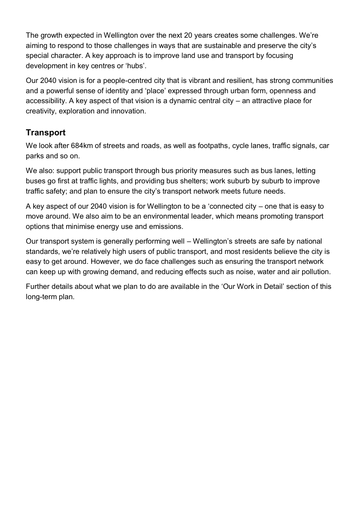The growth expected in Wellington over the next 20 years creates some challenges. We're aiming to respond to those challenges in ways that are sustainable and preserve the city's special character. A key approach is to improve land use and transport by focusing development in key centres or 'hubs'.

Our 2040 vision is for a people-centred city that is vibrant and resilient, has strong communities and a powerful sense of identity and 'place' expressed through urban form, openness and accessibility. A key aspect of that vision is a dynamic central city – an attractive place for creativity, exploration and innovation.

# <span id="page-23-0"></span>**Transport**

We look after 684km of streets and roads, as well as footpaths, cycle lanes, traffic signals, car parks and so on.

We also: support public transport through bus priority measures such as bus lanes, letting buses go first at traffic lights, and providing bus shelters; work suburb by suburb to improve traffic safety; and plan to ensure the city's transport network meets future needs.

A key aspect of our 2040 vision is for Wellington to be a 'connected city – one that is easy to move around. We also aim to be an environmental leader, which means promoting transport options that minimise energy use and emissions.

Our transport system is generally performing well – Wellington's streets are safe by national standards, we're relatively high users of public transport, and most residents believe the city is easy to get around. However, we do face challenges such as ensuring the transport network can keep up with growing demand, and reducing effects such as noise, water and air pollution.

Further details about what we plan to do are available in the 'Our Work in Detail' section of this long-term plan.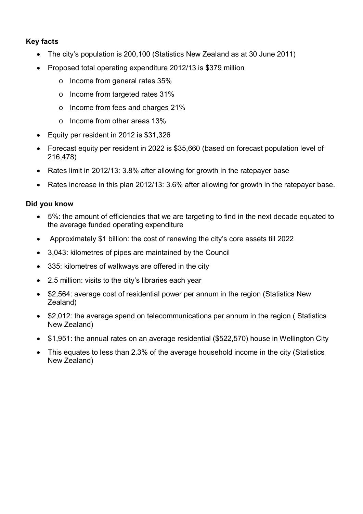#### **Key facts**

- The city's population is 200,100 (Statistics New Zealand as at 30 June 2011)
- Proposed total operating expenditure 2012/13 is \$379 million
	- o Income from general rates 35%
	- o Income from targeted rates 31%
	- o Income from fees and charges 21%
	- o Income from other areas 13%
- Equity per resident in 2012 is \$31,326
- Forecast equity per resident in 2022 is \$35,660 (based on forecast population level of 216,478)
- Rates limit in 2012/13: 3.8% after allowing for growth in the ratepayer base
- Rates increase in this plan 2012/13: 3.6% after allowing for growth in the ratepayer base.

#### **Did you know**

- 5%: the amount of efficiencies that we are targeting to find in the next decade equated to the average funded operating expenditure
- Approximately \$1 billion: the cost of renewing the city's core assets till 2022
- 3,043: kilometres of pipes are maintained by the Council
- 335: kilometres of walkways are offered in the city
- 2.5 million: visits to the city's libraries each year
- \$2,564: average cost of residential power per annum in the region (Statistics New Zealand)
- \$2,012: the average spend on telecommunications per annum in the region ( Statistics New Zealand)
- \$1,951: the annual rates on an average residential (\$522,570) house in Wellington City
- This equates to less than 2.3% of the average household income in the city (Statistics New Zealand)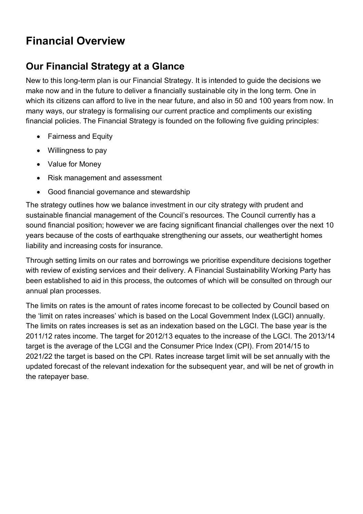# <span id="page-25-0"></span>**Financial Overview**

# <span id="page-25-1"></span>**Our Financial Strategy at a Glance**

New to this long-term plan is our Financial Strategy. It is intended to guide the decisions we make now and in the future to deliver a financially sustainable city in the long term. One in which its citizens can afford to live in the near future, and also in 50 and 100 years from now. In many ways, our strategy is formalising our current practice and compliments our existing financial policies. The Financial Strategy is founded on the following five guiding principles:

- Fairness and Equity
- Willingness to pay
- Value for Money
- Risk management and assessment
- Good financial governance and stewardship

The strategy outlines how we balance investment in our city strategy with prudent and sustainable financial management of the Council's resources. The Council currently has a sound financial position; however we are facing significant financial challenges over the next 10 years because of the costs of earthquake strengthening our assets, our weathertight homes liability and increasing costs for insurance.

Through setting limits on our rates and borrowings we prioritise expenditure decisions together with review of existing services and their delivery. A Financial Sustainability Working Party has been established to aid in this process, the outcomes of which will be consulted on through our annual plan processes.

The limits on rates is the amount of rates income forecast to be collected by Council based on the 'limit on rates increases' which is based on the Local Government Index (LGCI) annually. The limits on rates increases is set as an indexation based on the LGCI. The base year is the 2011/12 rates income. The target for 2012/13 equates to the increase of the LGCI. The 2013/14 target is the average of the LCGI and the Consumer Price Index (CPI). From 2014/15 to 2021/22 the target is based on the CPI. Rates increase target limit will be set annually with the updated forecast of the relevant indexation for the subsequent year, and will be net of growth in the ratepayer base.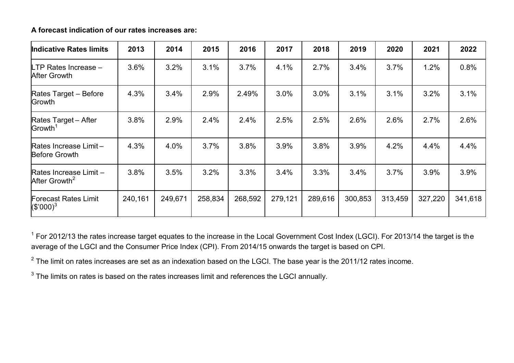**A forecast indication of our rates increases are:** 

| <b>Indicative Rates limits</b>                      | 2013    | 2014    | 2015    | 2016    | 2017    | 2018    | 2019    | 2020    | 2021    | 2022    |
|-----------------------------------------------------|---------|---------|---------|---------|---------|---------|---------|---------|---------|---------|
| LTP Rates Increase -<br><b>After Growth</b>         | 3.6%    | 3.2%    | 3.1%    | 3.7%    | 4.1%    | 2.7%    | 3.4%    | 3.7%    | 1.2%    | 0.8%    |
| Rates Target - Before<br>Growth                     | 4.3%    | 3.4%    | 2.9%    | 2.49%   | 3.0%    | 3.0%    | 3.1%    | 3.1%    | 3.2%    | 3.1%    |
| Rates Target - After<br>Growth <sup>1</sup>         | 3.8%    | 2.9%    | 2.4%    | 2.4%    | 2.5%    | 2.5%    | 2.6%    | 2.6%    | 2.7%    | 2.6%    |
| Rates Increase Limit-<br><b>Before Growth</b>       | 4.3%    | 4.0%    | 3.7%    | 3.8%    | 3.9%    | 3.8%    | 3.9%    | 4.2%    | 4.4%    | 4.4%    |
| Rates Increase Limit -<br>After Growth <sup>2</sup> | 3.8%    | 3.5%    | 3.2%    | 3.3%    | 3.4%    | 3.3%    | 3.4%    | 3.7%    | 3.9%    | 3.9%    |
| <b>Forecast Rates Limit</b><br>$(S'000)^3$          | 240,161 | 249,671 | 258,834 | 268,592 | 279,121 | 289,616 | 300,853 | 313,459 | 327,220 | 341,618 |

 $1$  For 2012/13 the rates increase target equates to the increase in the Local Government Cost Index (LGCI). For 2013/14 the target is the average of the LGCI and the Consumer Price Index (CPI). From 2014/15 onwards the target is based on CPI.

 $2$  The limit on rates increases are set as an indexation based on the LGCI. The base year is the 2011/12 rates income.

 $3$  The limits on rates is based on the rates increases limit and references the LGCI annually.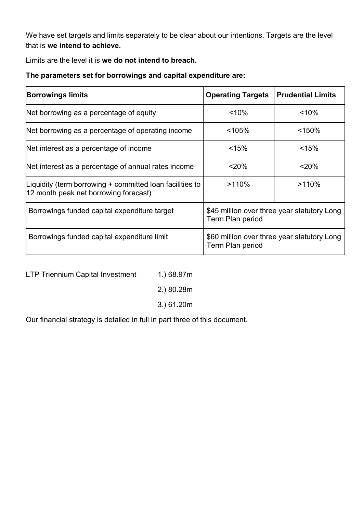We have set targets and limits separately to be clear about our intentions. Targets are the level that is **we intend to achieve.**

Limits are the level it is **we do not intend to breach.** 

**The parameters set for borrowings and capital expenditure are:** 

| <b>Borrowings limits</b>                                                                          | <b>Operating Targets</b>                                        | <b>Prudential Limits</b> |  |  |
|---------------------------------------------------------------------------------------------------|-----------------------------------------------------------------|--------------------------|--|--|
| Net borrowing as a percentage of equity                                                           | < 10%                                                           | < 10%                    |  |  |
| Net borrowing as a percentage of operating income                                                 | < 105%                                                          | < 150%                   |  |  |
| Net interest as a percentage of income                                                            | < 15%                                                           | < 15%                    |  |  |
| Net interest as a percentage of annual rates income                                               | < 20%                                                           | $<$ 20%                  |  |  |
| Liquidity (term borrowing + committed loan facilities to<br>12 month peak net borrowing forecast) | >110%                                                           | >110%                    |  |  |
| Borrowings funded capital expenditure target                                                      | \$45 million over three year statutory Long<br>Term Plan period |                          |  |  |
| Borrowings funded capital expenditure limit                                                       | \$60 million over three year statutory Long<br>Term Plan period |                          |  |  |

LTP Triennium Capital Investment 1.) 68.97m

2.) 80.28m

3.) 61.20m

Our financial strategy is detailed in full in part three of this document.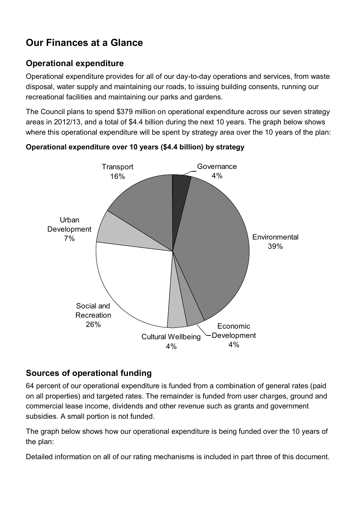# <span id="page-28-0"></span>**Our Finances at a Glance**

# <span id="page-28-1"></span>**Operational expenditure**

Operational expenditure provides for all of our day-to-day operations and services, from waste disposal, water supply and maintaining our roads, to issuing building consents, running our recreational facilities and maintaining our parks and gardens.

The Council plans to spend \$379 million on operational expenditure across our seven strategy areas in 2012/13, and a total of \$4.4 billion during the next 10 years. The graph below shows where this operational expenditure will be spent by strategy area over the 10 years of the plan:



**Operational expenditure over 10 years (\$4.4 billion) by strategy** 

## <span id="page-28-2"></span>**Sources of operational funding**

64 percent of our operational expenditure is funded from a combination of general rates (paid on all properties) and targeted rates. The remainder is funded from user charges, ground and commercial lease income, dividends and other revenue such as grants and government subsidies. A small portion is not funded.

The graph below shows how our operational expenditure is being funded over the 10 years of the plan:

Detailed information on all of our rating mechanisms is included in part three of this document.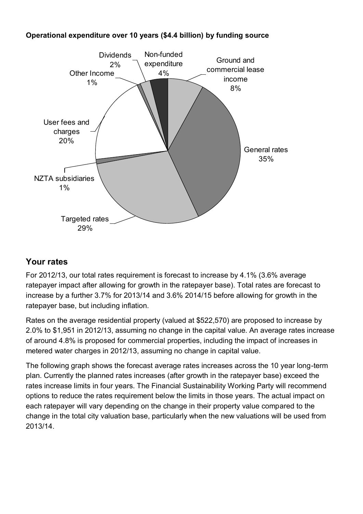#### **Operational expenditure over 10 years (\$4.4 billion) by funding source**  Dividends over 10 years (\$4.4<br>
idends Non-funde<br>
2% expenditure Non-funded expenditure 4.4 billion) by fur<br>
4% Ground and commercial lease



# <span id="page-29-0"></span>**Your rates**

For 2012/13, our total rates requirement is forecast to increase by 4.1% (3.6% average ratepayer impact after allowing for growth in the ratepayer base). Total rates are forecast to increase by a further 3.7% for 2013/14 and 3.6% 2014/15 before allowing for growth in the ratepayer base, but including inflation.

Rates on the average residential property (valued at \$522,570) are proposed to increase by 2.0% to \$1,951 in 2012/13, assuming no change in the capital value. An average rates increase of around 4.8% is proposed for commercial properties, including the impact of increases in metered water charges in 2012/13, assuming no change in capital value.

The following graph shows the forecast average rates increases across the 10 year long-term plan. Currently the planned rates increases (after growth in the ratepayer base) exceed the rates increase limits in four years. The Financial Sustainability Working Party will recommend options to reduce the rates requirement below the limits in those years. The actual impact on each ratepayer will vary depending on the change in their property value compared to the change in the total city valuation base, particularly when the new valuations will be used from 2013/14.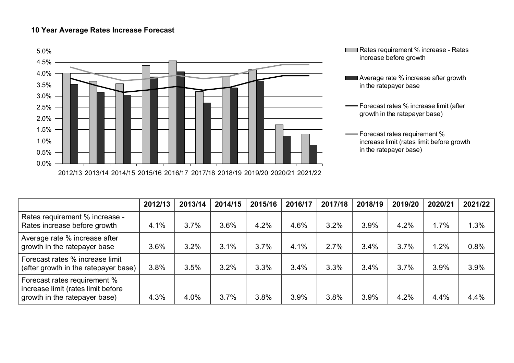#### **10 Year Average Rates Increase Forecast**





- **Average rate % increase after growth** in the ratepayer base
- Forecast rates % increase limit (after growth in the ratepayer base)
	- Forecast rates requirement % increase limit (rates limit before growth in the ratepayer base)

|                                                                                                     | 2012/13 | 2013/14 | 2014/15 | 2015/16 | 2016/17 | 2017/18 | 2018/19 | 2019/20 | 2020/21 | 2021/22 |
|-----------------------------------------------------------------------------------------------------|---------|---------|---------|---------|---------|---------|---------|---------|---------|---------|
| Rates requirement % increase -<br>Rates increase before growth                                      | 4.1%    | 3.7%    | 3.6%    | 4.2%    | 4.6%    | 3.2%    | 3.9%    | 4.2%    | 1.7%    | 1.3%    |
| Average rate % increase after<br>growth in the ratepayer base                                       | 3.6%    | 3.2%    | 3.1%    | 3.7%    | 4.1%    | 2.7%    | 3.4%    | 3.7%    | 1.2%    | 0.8%    |
| Forecast rates % increase limit<br>(after growth in the ratepayer base)                             | 3.8%    | 3.5%    | 3.2%    | 3.3%    | 3.4%    | 3.3%    | 3.4%    | 3.7%    | 3.9%    | 3.9%    |
| Forecast rates requirement %<br>increase limit (rates limit before<br>growth in the ratepayer base) | 4.3%    | 4.0%    | 3.7%    | 3.8%    | 3.9%    | 3.8%    | 3.9%    | 4.2%    | 4.4%    | 4.4%    |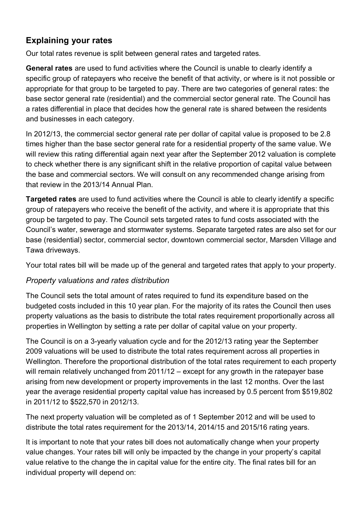# <span id="page-31-0"></span>**Explaining your rates**

Our total rates revenue is split between general rates and targeted rates.

**General rates** are used to fund activities where the Council is unable to clearly identify a specific group of ratepayers who receive the benefit of that activity, or where is it not possible or appropriate for that group to be targeted to pay. There are two categories of general rates: the base sector general rate (residential) and the commercial sector general rate. The Council has a rates differential in place that decides how the general rate is shared between the residents and businesses in each category.

In 2012/13, the commercial sector general rate per dollar of capital value is proposed to be 2.8 times higher than the base sector general rate for a residential property of the same value. We will review this rating differential again next year after the September 2012 valuation is complete to check whether there is any significant shift in the relative proportion of capital value between the base and commercial sectors. We will consult on any recommended change arising from that review in the 2013/14 Annual Plan.

**Targeted rates** are used to fund activities where the Council is able to clearly identify a specific group of ratepayers who receive the benefit of the activity, and where it is appropriate that this group be targeted to pay. The Council sets targeted rates to fund costs associated with the Council's water, sewerage and stormwater systems. Separate targeted rates are also set for our base (residential) sector, commercial sector, downtown commercial sector, Marsden Village and Tawa driveways.

Your total rates bill will be made up of the general and targeted rates that apply to your property.

#### *Property valuations and rates distribution*

The Council sets the total amount of rates required to fund its expenditure based on the budgeted costs included in this 10 year plan. For the majority of its rates the Council then uses property valuations as the basis to distribute the total rates requirement proportionally across all properties in Wellington by setting a rate per dollar of capital value on your property.

The Council is on a 3-yearly valuation cycle and for the 2012/13 rating year the September 2009 valuations will be used to distribute the total rates requirement across all properties in Wellington. Therefore the proportional distribution of the total rates requirement to each property will remain relatively unchanged from 2011/12 – except for any growth in the ratepayer base arising from new development or property improvements in the last 12 months. Over the last year the average residential property capital value has increased by 0.5 percent from \$519,802 in 2011/12 to \$522,570 in 2012/13.

The next property valuation will be completed as of 1 September 2012 and will be used to distribute the total rates requirement for the 2013/14, 2014/15 and 2015/16 rating years.

It is important to note that your rates bill does not automatically change when your property value changes. Your rates bill will only be impacted by the change in your property's capital value relative to the change the in capital value for the entire city. The final rates bill for an individual property will depend on: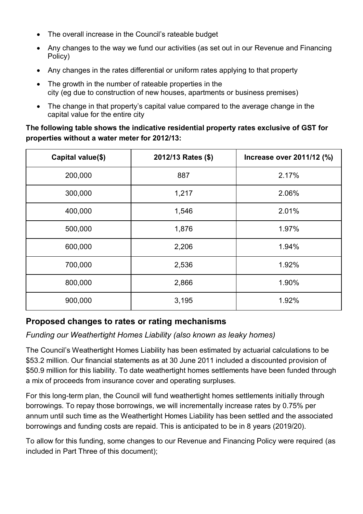- The overall increase in the Council's rateable budget
- Any changes to the way we fund our activities (as set out in our Revenue and Financing Policy)
- Any changes in the rates differential or uniform rates applying to that property
- The growth in the number of rateable properties in the city (eg due to construction of new houses, apartments or business premises)
- The change in that property's capital value compared to the average change in the capital value for the entire city

**The following table shows the indicative residential property rates exclusive of GST for properties without a water meter for 2012/13:** 

| Capital value(\$) | 2012/13 Rates (\$) | Increase over 2011/12 (%) |
|-------------------|--------------------|---------------------------|
| 200,000           | 887                | 2.17%                     |
| 300,000           | 1,217              | 2.06%                     |
| 400,000           | 1,546              | 2.01%                     |
| 500,000           | 1,876              | 1.97%                     |
| 600,000           | 2,206              | 1.94%                     |
| 700,000           | 2,536              | 1.92%                     |
| 800,000           | 2,866              | 1.90%                     |
| 900,000           | 3,195              | 1.92%                     |

### <span id="page-32-0"></span>**Proposed changes to rates or rating mechanisms**

*Funding our Weathertight Homes Liability (also known as leaky homes)*

The Council's Weathertight Homes Liability has been estimated by actuarial calculations to be \$53.2 million. Our financial statements as at 30 June 2011 included a discounted provision of \$50.9 million for this liability. To date weathertight homes settlements have been funded through a mix of proceeds from insurance cover and operating surpluses.

For this long-term plan, the Council will fund weathertight homes settlements initially through borrowings. To repay those borrowings, we will incrementally increase rates by 0.75% per annum until such time as the Weathertight Homes Liability has been settled and the associated borrowings and funding costs are repaid. This is anticipated to be in 8 years (2019/20).

To allow for this funding, some changes to our Revenue and Financing Policy were required (as included in Part Three of this document);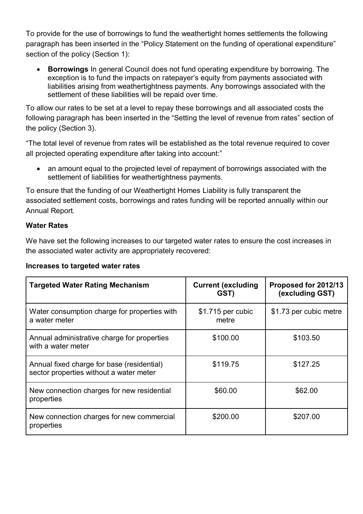To provide for the use of borrowings to fund the weathertight homes settlements the following paragraph has been inserted in the "Policy Statement on the funding of operational expenditure" section of the policy (Section 1):

 **Borrowings** In general Council does not fund operating expenditure by borrowing. The exception is to fund the impacts on ratepayer's equity from payments associated with liabilities arising from weathertightness payments. Any borrowings associated with the settlement of these liabilities will be repaid over time.

To allow our rates to be set at a level to repay these borrowings and all associated costs the following paragraph has been inserted in the "Setting the level of revenue from rates" section of the policy (Section 3).

"The total level of revenue from rates will be established as the total revenue required to cover all projected operating expenditure after taking into account:"

• an amount equal to the projected level of repayment of borrowings associated with the settlement of liabilities for weathertightness payments.

To ensure that the funding of our Weathertight Homes Liability is fully transparent the associated settlement costs, borrowings and rates funding will be reported annually within our Annual Report.

#### **Water Rates**

We have set the following increases to our targeted water rates to ensure the cost increases in the associated water activity are appropriately recovered:

| <b>Targeted Water Rating Mechanism</b>                                                | <b>Current (excluding</b><br>GST) | Proposed for 2012/13<br>(excluding GST) |
|---------------------------------------------------------------------------------------|-----------------------------------|-----------------------------------------|
| Water consumption charge for properties with<br>a water meter                         | \$1.715 per cubic<br>metre        | \$1.73 per cubic metre                  |
| Annual administrative charge for properties<br>with a water meter                     | \$100.00                          | \$103.50                                |
| Annual fixed charge for base (residential)<br>sector properties without a water meter | \$119.75                          | \$127.25                                |
| New connection charges for new residential<br>properties                              | \$60.00                           | \$62.00                                 |
| New connection charges for new commercial<br>properties                               | \$200.00                          | \$207.00                                |

#### **Increases to targeted water rates**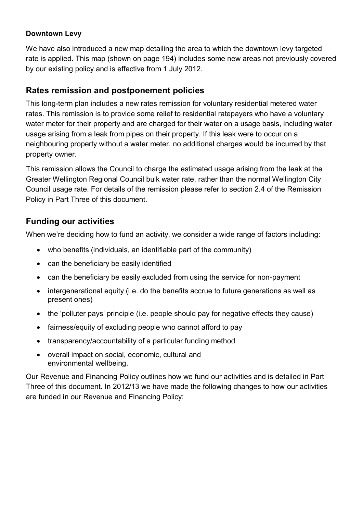#### **Downtown Levy**

We have also introduced a new map detailing the area to which the downtown levy targeted rate is applied. This map (shown on page 194) includes some new areas not previously covered by our existing policy and is effective from 1 July 2012.

## <span id="page-34-0"></span>**Rates remission and postponement policies**

This long-term plan includes a new rates remission for voluntary residential metered water rates. This remission is to provide some relief to residential ratepayers who have a voluntary water meter for their property and are charged for their water on a usage basis, including water usage arising from a leak from pipes on their property. If this leak were to occur on a neighbouring property without a water meter, no additional charges would be incurred by that property owner.

This remission allows the Council to charge the estimated usage arising from the leak at the Greater Wellington Regional Council bulk water rate, rather than the normal Wellington City Council usage rate. For details of the remission please refer to section 2.4 of the Remission Policy in Part Three of this document.

## <span id="page-34-1"></span>**Funding our activities**

When we're deciding how to fund an activity, we consider a wide range of factors including:

- who benefits (individuals, an identifiable part of the community)
- can the beneficiary be easily identified
- can the beneficiary be easily excluded from using the service for non-payment
- intergenerational equity (i.e. do the benefits accrue to future generations as well as present ones)
- the 'polluter pays' principle (i.e. people should pay for negative effects they cause)
- fairness/equity of excluding people who cannot afford to pay
- transparency/accountability of a particular funding method
- overall impact on social, economic, cultural and environmental wellbeing.

Our Revenue and Financing Policy outlines how we fund our activities and is detailed in Part Three of this document. In 2012/13 we have made the following changes to how our activities are funded in our Revenue and Financing Policy: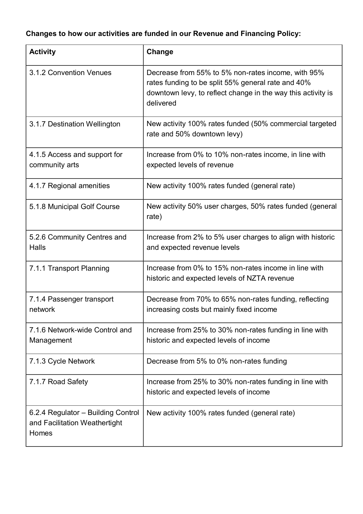# **Changes to how our activities are funded in our Revenue and Financing Policy:**

| <b>Activity</b>                                                              | Change                                                                                                                                                                                |
|------------------------------------------------------------------------------|---------------------------------------------------------------------------------------------------------------------------------------------------------------------------------------|
| 3.1.2 Convention Venues                                                      | Decrease from 55% to 5% non-rates income, with 95%<br>rates funding to be split 55% general rate and 40%<br>downtown levy, to reflect change in the way this activity is<br>delivered |
| 3.1.7 Destination Wellington                                                 | New activity 100% rates funded (50% commercial targeted<br>rate and 50% downtown levy)                                                                                                |
| 4.1.5 Access and support for<br>community arts                               | Increase from 0% to 10% non-rates income, in line with<br>expected levels of revenue                                                                                                  |
| 4.1.7 Regional amenities                                                     | New activity 100% rates funded (general rate)                                                                                                                                         |
| 5.1.8 Municipal Golf Course                                                  | New activity 50% user charges, 50% rates funded (general<br>rate)                                                                                                                     |
| 5.2.6 Community Centres and<br><b>Halls</b>                                  | Increase from 2% to 5% user charges to align with historic<br>and expected revenue levels                                                                                             |
| 7.1.1 Transport Planning                                                     | Increase from 0% to 15% non-rates income in line with<br>historic and expected levels of NZTA revenue                                                                                 |
| 7.1.4 Passenger transport<br>network                                         | Decrease from 70% to 65% non-rates funding, reflecting<br>increasing costs but mainly fixed income                                                                                    |
| 7.1.6 Network-wide Control and<br>Management                                 | Increase from 25% to 30% non-rates funding in line with<br>historic and expected levels of income                                                                                     |
| 7.1.3 Cycle Network                                                          | Decrease from 5% to 0% non-rates funding                                                                                                                                              |
| 7.1.7 Road Safety                                                            | Increase from 25% to 30% non-rates funding in line with<br>historic and expected levels of income                                                                                     |
| 6.2.4 Regulator - Building Control<br>and Facilitation Weathertight<br>Homes | New activity 100% rates funded (general rate)                                                                                                                                         |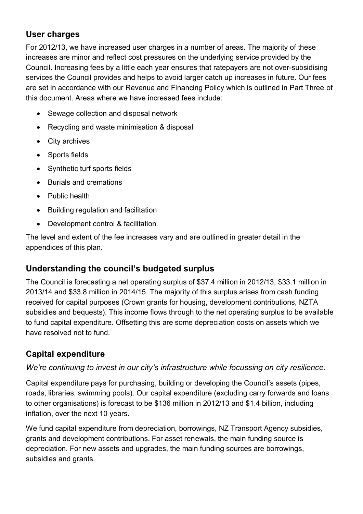# <span id="page-36-0"></span>**User charges**

For 2012/13, we have increased user charges in a number of areas. The majority of these increases are minor and reflect cost pressures on the underlying service provided by the Council. Increasing fees by a little each year ensures that ratepayers are not over-subsidising services the Council provides and helps to avoid larger catch up increases in future. Our fees are set in accordance with our Revenue and Financing Policy which is outlined in Part Three of this document. Areas where we have increased fees include:

- Sewage collection and disposal network
- Recycling and waste minimisation & disposal
- City archives
- Sports fields
- Synthetic turf sports fields
- Burials and cremations
- Public health
- Building regulation and facilitation
- Development control & facilitation

The level and extent of the fee increases vary and are outlined in greater detail in the appendices of this plan.

## <span id="page-36-1"></span>**Understanding the council's budgeted surplus**

The Council is forecasting a net operating surplus of \$37.4 million in 2012/13, \$33.1 million in 2013/14 and \$33.8 million in 2014/15. The majority of this surplus arises from cash funding received for capital purposes (Crown grants for housing, development contributions, NZTA subsidies and bequests). This income flows through to the net operating surplus to be available to fund capital expenditure. Offsetting this are some depreciation costs on assets which we have resolved not to fund.

## <span id="page-36-2"></span>**Capital expenditure**

### *We're continuing to invest in our city's infrastructure while focussing on city resilience.*

Capital expenditure pays for purchasing, building or developing the Council's assets (pipes, roads, libraries, swimming pools). Our capital expenditure (excluding carry forwards and loans to other organisations) is forecast to be \$136 million in 2012/13 and \$1.4 billion, including inflation, over the next 10 years.

We fund capital expenditure from depreciation, borrowings, NZ Transport Agency subsidies, grants and development contributions. For asset renewals, the main funding source is depreciation. For new assets and upgrades, the main funding sources are borrowings, subsidies and grants.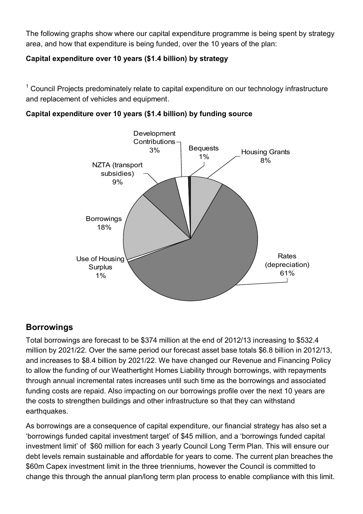The following graphs show where our capital expenditure programme is being spent by strategy area, and how that expenditure is being funded, over the 10 years of the plan:

### **Capital expenditure over 10 years (\$1.4 billion) by strategy**

<sup>1</sup> Council Projects predominately relate to capital expenditure on our technology infrastructure and replacement of vehicles and equipment.

**Capital expenditure over 10 years (\$1.4 billion) by funding source** 



## <span id="page-37-0"></span>**Borrowings**

Total borrowings are forecast to be \$374 million at the end of 2012/13 increasing to \$532.4 million by 2021/22. Over the same period our forecast asset base totals \$6.8 billion in 2012/13, and increases to \$8.4 billion by 2021/22. We have changed our Revenue and Financing Policy to allow the funding of our Weathertight Homes Liability through borrowings, with repayments through annual incremental rates increases until such time as the borrowings and associated funding costs are repaid. Also impacting on our borrowings profile over the next 10 years are the costs to strengthen buildings and other infrastructure so that they can withstand earthquakes.

As borrowings are a consequence of capital expenditure, our financial strategy has also set a 'borrowings funded capital investment target' of \$45 million, and a 'borrowings funded capital investment limit' of \$60 million for each 3 yearly Council Long Term Plan. This will ensure our debt levels remain sustainable and affordable for years to come. The current plan breaches the \$60m Capex investment limit in the three trienniums, however the Council is committed to change this through the annual plan/long term plan process to enable compliance with this limit.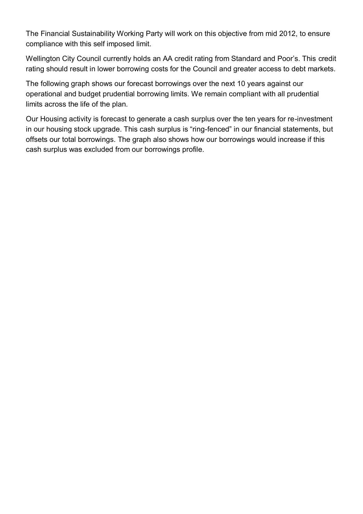The Financial Sustainability Working Party will work on this objective from mid 2012, to ensure compliance with this self imposed limit.

Wellington City Council currently holds an AA credit rating from Standard and Poor's. This credit rating should result in lower borrowing costs for the Council and greater access to debt markets.

The following graph shows our forecast borrowings over the next 10 years against our operational and budget prudential borrowing limits. We remain compliant with all prudential limits across the life of the plan.

Our Housing activity is forecast to generate a cash surplus over the ten years for re-investment in our housing stock upgrade. This cash surplus is "ring-fenced" in our financial statements, but offsets our total borrowings. The graph also shows how our borrowings would increase if this cash surplus was excluded from our borrowings profile.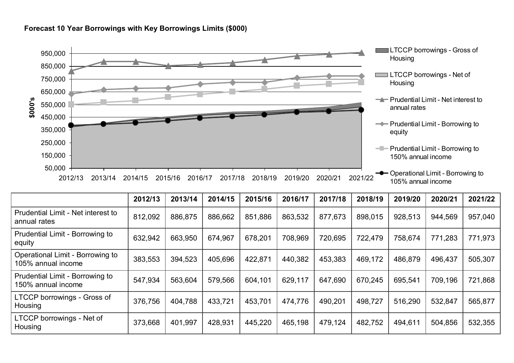

**Forecast 10 Year Borrowings with Key Borrowings Limits (\$000)** 

|                                                        | 2012/13 | 2013/14 | 2014/15 | 2015/16 | 2016/17 | 2017/18 | 2018/19 | 2019/20 | 2020/21 | 2021/22 |
|--------------------------------------------------------|---------|---------|---------|---------|---------|---------|---------|---------|---------|---------|
| Prudential Limit - Net interest to<br>annual rates     | 812,092 | 886,875 | 886,662 | 851,886 | 863,532 | 877,673 | 898,015 | 928,513 | 944,569 | 957,040 |
| Prudential Limit - Borrowing to<br>equity              | 632,942 | 663,950 | 674,967 | 678,201 | 708,969 | 720,695 | 722,479 | 758,674 | 771,283 | 771,973 |
| Operational Limit - Borrowing to<br>105% annual income | 383,553 | 394,523 | 405,696 | 422,871 | 440,382 | 453,383 | 469,172 | 486,879 | 496,437 | 505,307 |
| Prudential Limit - Borrowing to<br>150% annual income  | 547,934 | 563,604 | 579,566 | 604,101 | 629,117 | 647,690 | 670,245 | 695,541 | 709,196 | 721,868 |
| LTCCP borrowings - Gross of<br>Housing                 | 376,756 | 404,788 | 433,721 | 453,701 | 474,776 | 490,201 | 498,727 | 516,290 | 532,847 | 565,877 |
| LTCCP borrowings - Net of<br>Housing                   | 373,668 | 401,997 | 428,931 | 445,220 | 465,198 | 479,124 | 482,752 | 494,611 | 504,856 | 532,355 |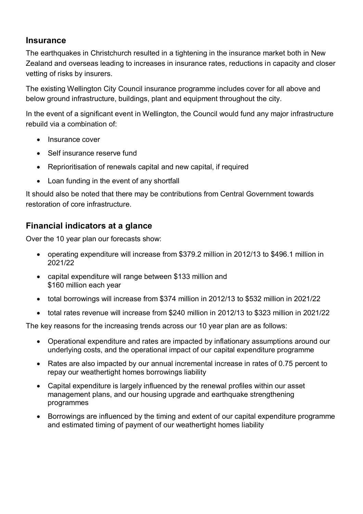### <span id="page-40-0"></span>**Insurance**

The earthquakes in Christchurch resulted in a tightening in the insurance market both in New Zealand and overseas leading to increases in insurance rates, reductions in capacity and closer vetting of risks by insurers.

The existing Wellington City Council insurance programme includes cover for all above and below ground infrastructure, buildings, plant and equipment throughout the city.

In the event of a significant event in Wellington, the Council would fund any major infrastructure rebuild via a combination of:

- Insurance cover
- Self insurance reserve fund
- Reprioritisation of renewals capital and new capital, if required
- Loan funding in the event of any shortfall

It should also be noted that there may be contributions from Central Government towards restoration of core infrastructure.

### <span id="page-40-1"></span>**Financial indicators at a glance**

Over the 10 year plan our forecasts show:

- operating expenditure will increase from \$379.2 million in 2012/13 to \$496.1 million in 2021/22
- capital expenditure will range between \$133 million and \$160 million each year
- total borrowings will increase from \$374 million in 2012/13 to \$532 million in 2021/22
- total rates revenue will increase from \$240 million in 2012/13 to \$323 million in 2021/22

The key reasons for the increasing trends across our 10 year plan are as follows:

- Operational expenditure and rates are impacted by inflationary assumptions around our underlying costs, and the operational impact of our capital expenditure programme
- Rates are also impacted by our annual incremental increase in rates of 0.75 percent to repay our weathertight homes borrowings liability
- Capital expenditure is largely influenced by the renewal profiles within our asset management plans, and our housing upgrade and earthquake strengthening programmes
- Borrowings are influenced by the timing and extent of our capital expenditure programme and estimated timing of payment of our weathertight homes liability